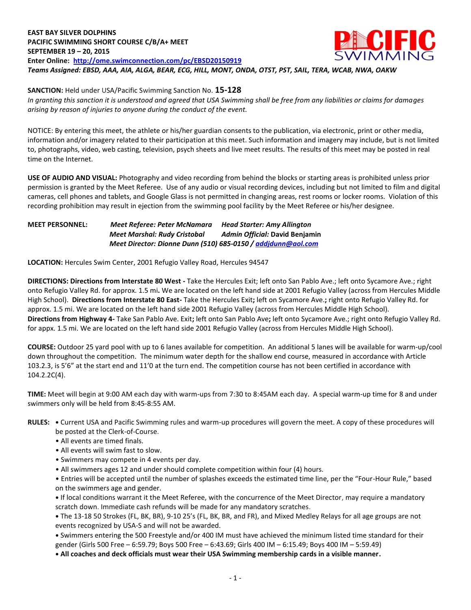### **EAST BAY SILVER DOLPHINS** CIE **PACIFIC SWIMMING SHORT COURSE C/B/A+ MEET SEPTEMBER 19 – 20, 2015 Enter Online: <http://ome.swimconnection.com/pc/EBSD20150919>** *Teams Assigned: EBSD, AAA, AIA, ALGA, BEAR, ECG, HILL, MONT, ONDA, OTST, PST, SAIL, TERA, WCAB, NWA, OAKW*

**SANCTION:** Held under USA/Pacific Swimming Sanction No. **15-128**

*In granting this sanction it is understood and agreed that USA Swimming shall be free from any liabilities or claims for damages arising by reason of injuries to anyone during the conduct of the event.*

NOTICE: By entering this meet, the athlete or his/her guardian consents to the publication, via electronic, print or other media, information and/or imagery related to their participation at this meet. Such information and imagery may include, but is not limited to, photographs, video, web casting, television, psych sheets and live meet results. The results of this meet may be posted in real time on the Internet.

**USE OF AUDIO AND VISUAL:** Photography and video recording from behind the blocks or starting areas is prohibited unless prior permission is granted by the Meet Referee. Use of any audio or visual recording devices, including but not limited to film and digital cameras, cell phones and tablets, and Google Glass is not permitted in changing areas, rest rooms or locker rooms. Violation of this recording prohibition may result in ejection from the swimming pool facility by the Meet Referee or his/her designee.

**MEET PERSONNEL:** *Meet Referee: Peter McNamara Head Starter: Amy Allington Meet Marshal: Rudy Cristobal Admin Official:* **David Benjamin**  *Meet Director: Dionne Dunn (510) 685-0150 [/ addjdunn@aol.com](mailto:addjdunn@aol.com)*

**LOCATION:** Hercules Swim Center, 2001 Refugio Valley Road, Hercules 94547

**DIRECTIONS: Directions from Interstate 80 West -** Take the Hercules Exit; left onto San Pablo Ave.; left onto Sycamore Ave.; right onto Refugio Valley Rd. for approx. 1.5 mi**.** We are located on the left hand side at 2001 Refugio Valley (across from Hercules Middle High School). **Directions from Interstate 80 East-** Take the Hercules Exit**;** left on Sycamore Ave.**;** right onto Refugio Valley Rd. for approx. 1.5 mi. We are located on the left hand side 2001 Refugio Valley (across from Hercules Middle High School). **Directions from Highway 4-** Take San Pablo Ave. Exit**;** left onto San Pablo Ave**;** left onto Sycamore Ave.; right onto Refugio Valley Rd. for appx. 1.5 mi. We are located on the left hand side 2001 Refugio Valley (across from Hercules Middle High School).

**COURSE:** Outdoor 25 yard pool with up to 6 lanes available for competition. An additional 5 lanes will be available for warm-up/cool down throughout the competition. The minimum water depth for the shallow end course, measured in accordance with Article 103.2.3, is 5'6" at the start end and 11'0 at the turn end. The competition course has not been certified in accordance with 104.2.2C(4).

**TIME:** Meet will begin at 9:00 AM each day with warm-ups from 7:30 to 8:45AM each day. A special warm-up time for 8 and under swimmers only will be held from 8:45-8:55 AM.

# **RULES: •** Current USA and Pacific Swimming rules and warm-up procedures will govern the meet. A copy of these procedures will

- be posted at the Clerk-of-Course.
- All events are timed finals.
- All events will swim fast to slow.
- Swimmers may compete in 4 events per day.
- All swimmers ages 12 and under should complete competition within four (4) hours.

• Entries will be accepted until the number of splashes exceeds the estimated time line, per the "Four-Hour Rule," based on the swimmers age and gender.

**•** If local conditions warrant it the Meet Referee, with the concurrence of the Meet Director, may require a mandatory scratch down. Immediate cash refunds will be made for any mandatory scratches.

**•** The 13-18 50 Strokes (FL, BK, BR), 9-10 25's (FL, BK, BR, and FR), and Mixed Medley Relays for all age groups are not events recognized by USA-S and will not be awarded.

**•** Swimmers entering the 500 Freestyle and/or 400 IM must have achieved the minimum listed time standard for their gender (Girls 500 Free – 6:59.79; Boys 500 Free – 6:43.69; Girls 400 IM – 6:15.49; Boys 400 IM – 5:59.49)

**• All coaches and deck officials must wear their USA Swimming membership cards in a visible manner.**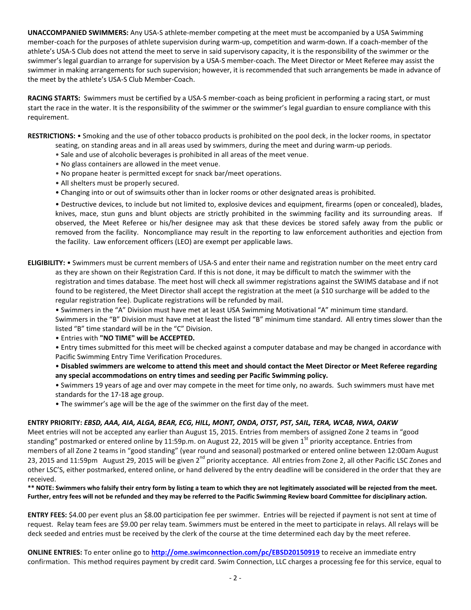**UNACCOMPANIED SWIMMERS:** Any USA-S athlete-member competing at the meet must be accompanied by a USA Swimming member-coach for the purposes of athlete supervision during warm-up, competition and warm-down. If a coach-member of the athlete's USA-S Club does not attend the meet to serve in said supervisory capacity, it is the responsibility of the swimmer or the swimmer's legal guardian to arrange for supervision by a USA-S member-coach. The Meet Director or Meet Referee may assist the swimmer in making arrangements for such supervision; however, it is recommended that such arrangements be made in advance of the meet by the athlete's USA-S Club Member-Coach.

**RACING STARTS:** Swimmers must be certified by a USA-S member-coach as being proficient in performing a racing start, or must start the race in the water. It is the responsibility of the swimmer or the swimmer's legal guardian to ensure compliance with this requirement.

**RESTRICTIONS:** • Smoking and the use of other tobacco products is prohibited on the pool deck, in the locker rooms, in spectator

- seating, on standing areas and in all areas used by swimmers, during the meet and during warm-up periods.
- Sale and use of alcoholic beverages is prohibited in all areas of the meet venue.
- No glass containers are allowed in the meet venue.
- No propane heater is permitted except for snack bar/meet operations.
- All shelters must be properly secured.
- Changing into or out of swimsuits other than in locker rooms or other designated areas is prohibited.

• Destructive devices, to include but not limited to, explosive devices and equipment, firearms (open or concealed), blades, knives, mace, stun guns and blunt objects are strictly prohibited in the swimming facility and its surrounding areas. If observed, the Meet Referee or his/her designee may ask that these devices be stored safely away from the public or removed from the facility. Noncompliance may result in the reporting to law enforcement authorities and ejection from the facility. Law enforcement officers (LEO) are exempt per applicable laws.

**ELIGIBILITY:** • Swimmers must be current members of USA-S and enter their name and registration number on the meet entry card as they are shown on their Registration Card. If this is not done, it may be difficult to match the swimmer with the registration and times database. The meet host will check all swimmer registrations against the SWIMS database and if not found to be registered, the Meet Director shall accept the registration at the meet (a \$10 surcharge will be added to the regular registration fee). Duplicate registrations will be refunded by mail.

• Swimmers in the "A" Division must have met at least USA Swimming Motivational "A" minimum time standard.

Swimmers in the "B" Division must have met at least the listed "B" minimum time standard. All entry times slower than the listed "B" time standard will be in the "C" Division.

• Entries with **"NO TIME" will be ACCEPTED.**

• Entry times submitted for this meet will be checked against a computer database and may be changed in accordance with Pacific Swimming Entry Time Verification Procedures.

• **Disabled swimmers are welcome to attend this meet and should contact the Meet Director or Meet Referee regarding any special accommodations on entry times and seeding per Pacific Swimming policy.**

• Swimmers 19 years of age and over may compete in the meet for time only, no awards. Such swimmers must have met standards for the 17-18 age group.

• The swimmer's age will be the age of the swimmer on the first day of the meet.

## **ENTRY PRIORITY:** *EBSD, AAA, AIA, ALGA, BEAR, ECG, HILL, MONT, ONDA, OTST, PST, SAIL, TERA, WCAB, NWA, OAKW*

Meet entries will not be accepted any earlier than August 15, 2015. Entries from members of assigned Zone 2 teams in "good standing" postmarked or entered online by 11:59p.m. on August 22, 2015 will be given 1<sup>St</sup> priority acceptance. Entries from members of all Zone 2 teams in "good standing" (year round and seasonal) postmarked or entered online between 12:00am August 23, 2015 and 11:59pm August 29, 2015 will be given 2<sup>nd</sup> priority acceptance. All entries from Zone 2, all other Pacific LSC Zones and other LSC'S, either postmarked, entered online, or hand delivered by the entry deadline will be considered in the order that they are received.

**\*\* NOTE: Swimmers who falsify their entry form by listing a team to which they are not legitimately associated will be rejected from the meet. Further, entry fees will not be refunded and they may be referred to the Pacific Swimming Review board Committee for disciplinary action.**

**ENTRY FEES:** \$4.00 per event plus an \$8.00 participation fee per swimmer. Entries will be rejected if payment is not sent at time of request. Relay team fees are \$9.00 per relay team. Swimmers must be entered in the meet to participate in relays. All relays will be deck seeded and entries must be received by the clerk of the course at the time determined each day by the meet referee.

**ONLINE ENTRIES:** To enter online go to **<http://ome.swimconnection.com/pc/EBSD20150919>** to receive an immediate entry confirmation. This method requires payment by credit card. Swim Connection, LLC charges a processing fee for this service, equal to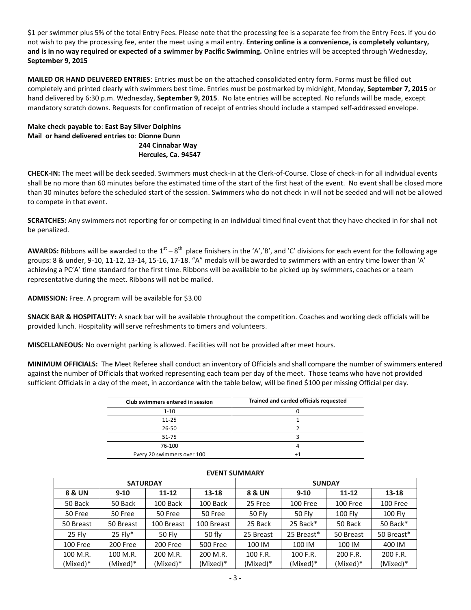\$1 per swimmer plus 5% of the total Entry Fees. Please note that the processing fee is a separate fee from the Entry Fees. If you do not wish to pay the processing fee, enter the meet using a mail entry. **Entering online is a convenience, is completely voluntary, and is in no way required or expected of a swimmer by Pacific Swimming.** Online entries will be accepted through Wednesday, **September 9, 2015**

**MAILED OR HAND DELIVERED ENTRIES**: Entries must be on the attached consolidated entry form. Forms must be filled out completely and printed clearly with swimmers best time. Entries must be postmarked by midnight, Monday, **September 7, 2015** or hand delivered by 6:30 p.m. Wednesday, **September 9, 2015**. No late entries will be accepted. No refunds will be made, except mandatory scratch downs. Requests for confirmation of receipt of entries should include a stamped self-addressed envelope.

**Make check payable to**: **East Bay Silver Dolphins Mail or hand delivered entries to**: **Dionne Dunn 244 Cinnabar Way Hercules, Ca. 94547** 

**CHECK-IN:** The meet will be deck seeded. Swimmers must check-in at the Clerk-of-Course. Close of check-in for all individual events shall be no more than 60 minutes before the estimated time of the start of the first heat of the event. No event shall be closed more than 30 minutes before the scheduled start of the session. Swimmers who do not check in will not be seeded and will not be allowed to compete in that event.

**SCRATCHES:** Any swimmers not reporting for or competing in an individual timed final event that they have checked in for shall not be penalized.

**AWARDS:** Ribbons will be awarded to the  $1^{st} - 8^{th}$  place finishers in the 'A','B', and 'C' divisions for each event for the following age groups: 8 & under, 9-10, 11-12, 13-14, 15-16, 17-18. "A" medals will be awarded to swimmers with an entry time lower than 'A' achieving a PC'A' time standard for the first time. Ribbons will be available to be picked up by swimmers, coaches or a team representative during the meet. Ribbons will not be mailed.

**ADMISSION:** Free. A program will be available for \$3.00

**SNACK BAR & HOSPITALITY:** A snack bar will be available throughout the competition. Coaches and working deck officials will be provided lunch. Hospitality will serve refreshments to timers and volunteers.

**MISCELLANEOUS:** No overnight parking is allowed. Facilities will not be provided after meet hours.

**MINIMUM OFFICIALS:** The Meet Referee shall conduct an inventory of Officials and shall compare the number of swimmers entered against the number of Officials that worked representing each team per day of the meet. Those teams who have not provided sufficient Officials in a day of the meet, in accordance with the table below, will be fined \$100 per missing Official per day.

| Club swimmers entered in session | Trained and carded officials requested |
|----------------------------------|----------------------------------------|
| $1 - 10$                         |                                        |
| $11 - 25$                        |                                        |
| $26 - 50$                        |                                        |
| 51-75                            |                                        |
| 76-100                           |                                        |
| Every 20 swimmers over 100       |                                        |

|           | <b>SATURDAY</b> |               |                 | <b>SUNDAY</b> |            |            |            |  |  |  |
|-----------|-----------------|---------------|-----------------|---------------|------------|------------|------------|--|--|--|
| 8 & UN    | $9 - 10$        | $11 - 12$     | 13-18           | 8 & UN        | $9-10$     | $11 - 12$  | 13-18      |  |  |  |
| 50 Back   | 50 Back         | 100 Back      | 100 Back        | 25 Free       | 100 Free   | 100 Free   | 100 Free   |  |  |  |
| 50 Free   | 50 Free         | 50 Free       | 50 Free         | <b>50 Fly</b> | 50 Fly     | 100 Fly    | 100 Fly    |  |  |  |
| 50 Breast | 50 Breast       | 100 Breast    | 100 Breast      | 25 Back       | $25$ Back* | 50 Back    | 50 Back*   |  |  |  |
| 25 Fly    | $25$ Flv*       | <b>50 Fly</b> | 50 fly          | 25 Breast     | 25 Breast* | 50 Breast  | 50 Breast* |  |  |  |
| 100 Free  | 200 Free        | 200 Free      | <b>500 Free</b> | 100 IM        | 100 IM     | 100 IM     | 400 IM     |  |  |  |
| 100 M.R.  | 100 M.R.        | 200 M.R.      | 200 M.R.        | 100 F.R.      | 100 F.R.   | 200 F.R.   | 200 F.R.   |  |  |  |
| (Mixed)*  | (Mixed)*        | (Mixed)*      | (Mixed)*        | (Mixed)*      | (Mixed)*   | $(Mixed)*$ | (Mixed)*   |  |  |  |

## **EVENT SUMMARY**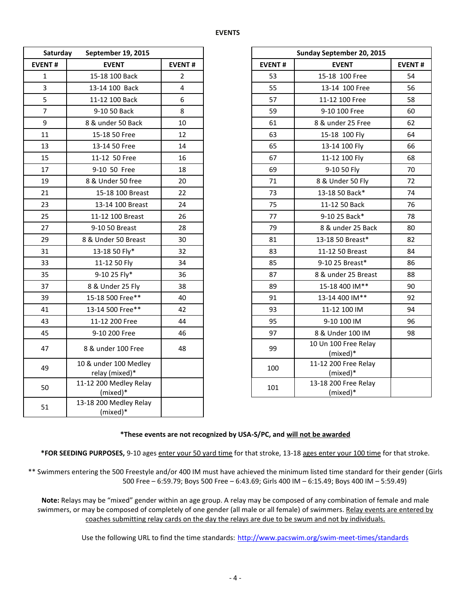| Saturday<br>September 19, 2015 |                                         |                |               | Sunday September 20, 2015        |               |  |  |  |
|--------------------------------|-----------------------------------------|----------------|---------------|----------------------------------|---------------|--|--|--|
| <b>EVENT#</b>                  | <b>EVENT</b>                            | <b>EVENT#</b>  | <b>EVENT#</b> | <b>EVENT</b>                     | <b>EVENT#</b> |  |  |  |
| $\mathbf{1}$                   | 15-18 100 Back                          | $\overline{2}$ | 53            | 15-18 100 Free                   | 54            |  |  |  |
| 3                              | 13-14 100 Back                          | 4              | 55            | 13-14 100 Free                   | 56            |  |  |  |
| 5                              | 11-12 100 Back                          | 6              | 57            | 11-12 100 Free                   | 58            |  |  |  |
| $\overline{7}$                 | 9-10 50 Back                            | 8              | 59            | 9-10 100 Free                    | 60            |  |  |  |
| 9                              | 8 & under 50 Back                       | 10             | 61            | 8 & under 25 Free                | 62            |  |  |  |
| 11                             | 15-18 50 Free                           | 12             | 63            | 15-18 100 Fly                    | 64            |  |  |  |
| 13                             | 13-14 50 Free                           | 14             | 65            | 13-14 100 Fly                    | 66            |  |  |  |
| 15                             | 11-12 50 Free                           | 16             | 67            | 11-12 100 Fly                    | 68            |  |  |  |
| 17                             | 9-10 50 Free                            | 18             | 69            | 9-10 50 Fly                      | 70            |  |  |  |
| 19                             | 8 & Under 50 free                       | 20             | 71            | 8 & Under 50 Fly                 | 72            |  |  |  |
| 21                             | 15-18 100 Breast                        | 22             | 73            | 13-18 50 Back*                   | 74            |  |  |  |
| 23                             | 13-14 100 Breast                        | 24             | 75            | 11-12 50 Back                    | 76            |  |  |  |
| 25                             | 11-12 100 Breast                        | 26             | 77            | 9-10 25 Back*                    | 78            |  |  |  |
| 27                             | 9-10 50 Breast                          | 28             | 79            | 8 & under 25 Back                | 80            |  |  |  |
| 29                             | 8 & Under 50 Breast                     | 30             | 81            | 13-18 50 Breast*                 |               |  |  |  |
| 31                             | 13-18 50 Fly*                           | 32             | 83            | 11-12 50 Breast                  |               |  |  |  |
| 33                             | 11-12 50 Fly                            | 34             | 85            | 9-10 25 Breast*                  | 86            |  |  |  |
| 35                             | 9-10 25 Fly*                            | 36             | 87            | 8 & under 25 Breast              | 88            |  |  |  |
| 37                             | 8 & Under 25 Fly                        | 38             | 89            | 15-18 400 IM**                   | 90            |  |  |  |
| 39                             | 15-18 500 Free**                        | 40             | 91            | 13-14 400 IM**                   |               |  |  |  |
| 41                             | 13-14 500 Free**                        | 42             | 93            | 11-12 100 IM                     | 94            |  |  |  |
| 43                             | 11-12 200 Free                          | 44             | 95            | 9-10 100 IM                      | 96            |  |  |  |
| 45                             | 9-10 200 Free                           | 46             | 97            | 8 & Under 100 IM                 | 98            |  |  |  |
| 47                             | 8 & under 100 Free                      | 48             | 99            | 10 Un 100 Free Relay<br>(mixed)* |               |  |  |  |
| 49                             | 10 & under 100 Medley<br>relay (mixed)* |                | 100           | 11-12 200 Free Relay<br>(mixed)* |               |  |  |  |
| 50                             | 11-12 200 Medley Relay<br>(mixed)*      |                | 101           | 13-18 200 Free Relay<br>(mixed)* |               |  |  |  |
| 51                             | 13-18 200 Medley Relay<br>(mixed)*      |                |               |                                  |               |  |  |  |

| September 19, 2015<br>Saturday |                                         |                |
|--------------------------------|-----------------------------------------|----------------|
| NT#                            | <b>EVENT</b>                            | <b>EVENT#</b>  |
| 1                              | 15-18 100 Back                          | $\overline{2}$ |
| $\frac{3}{5}$                  | 13-14 100 Back                          | 4              |
|                                | 11-12 100 Back                          | 6              |
| $\overline{7}$                 | 9-10 50 Back                            | 8              |
| 9                              | 8 & under 50 Back                       | 10             |
| $\overline{1}$                 | 15-18 50 Free                           | 12             |
| L3                             | 13-14 50 Free                           | 14             |
| L5                             | 11-12 50 Free                           | 16             |
| $\overline{17}$                | 9-10 50 Free                            | 18             |
| L9                             | 8 & Under 50 free                       | 20             |
| $\overline{21}$                | 15-18 100 Breast                        | 22             |
| $^{23}$                        | 13-14 100 Breast                        | 24             |
| 25                             | 11-12 100 Breast                        | 26             |
| 27                             | 9-10 50 Breast                          | 28             |
| 29                             | 8 & Under 50 Breast                     | 30             |
| $^{31}$                        | 13-18 50 Fly*                           | 32             |
| $\overline{3}$                 | 11-12 50 Fly                            | 34             |
| 35 <sub>2</sub>                | 9-10 25 Fly*                            | 36             |
| 37                             | 8 & Under 25 Fly                        | 38             |
| 39                             | 15-18 500 Free**                        | 40             |
| $\overline{11}$                | 13-14 500 Free**                        | 42             |
| $13 \,$                        | 11-12 200 Free                          | 44             |
| 15                             | 9-10 200 Free                           | 46             |
| 17                             | 8 & under 100 Free                      | 48             |
| 19                             | 10 & under 100 Medley<br>relay (mixed)* |                |
| 50                             | 11-12 200 Medley Relay<br>(mixed)*      |                |

## **\*These events are not recognized by USA-S/PC, and will not be awarded**

**\*FOR SEEDING PURPOSES,** 9-10 ages enter your 50 yard time for that stroke, 13-18 ages enter your 100 time for that stroke.

\*\* Swimmers entering the 500 Freestyle and/or 400 IM must have achieved the minimum listed time standard for their gender (Girls 500 Free – 6:59.79; Boys 500 Free – 6:43.69; Girls 400 IM – 6:15.49; Boys 400 IM – 5:59.49)

**Note:** Relays may be "mixed" gender within an age group. A relay may be composed of any combination of female and male swimmers, or may be composed of completely of one gender (all male or all female) of swimmers. Relay events are entered by coaches submitting relay cards on the day the relays are due to be swum and not by individuals.

Use the following URL to find the time standards: <http://www.pacswim.org/swim-meet-times/standards>